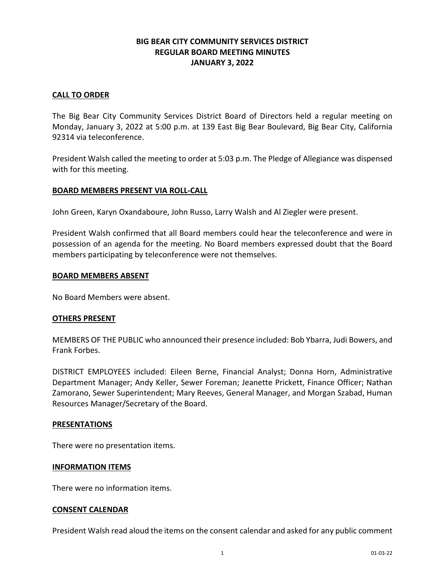## **BIG BEAR CITY COMMUNITY SERVICES DISTRICT REGULAR BOARD MEETING MINUTES JANUARY 3, 2022**

#### **CALL TO ORDER**

The Big Bear City Community Services District Board of Directors held a regular meeting on Monday, January 3, 2022 at 5:00 p.m. at 139 East Big Bear Boulevard, Big Bear City, California 92314 via teleconference.

President Walsh called the meeting to order at 5:03 p.m. The Pledge of Allegiance was dispensed with for this meeting.

#### **BOARD MEMBERS PRESENT VIA ROLL-CALL**

John Green, Karyn Oxandaboure, John Russo, Larry Walsh and Al Ziegler were present.

President Walsh confirmed that all Board members could hear the teleconference and were in possession of an agenda for the meeting. No Board members expressed doubt that the Board members participating by teleconference were not themselves.

#### **BOARD MEMBERS ABSENT**

No Board Members were absent.

#### **OTHERS PRESENT**

MEMBERS OF THE PUBLIC who announced their presence included: Bob Ybarra, Judi Bowers, and Frank Forbes.

DISTRICT EMPLOYEES included: Eileen Berne, Financial Analyst; Donna Horn, Administrative Department Manager; Andy Keller, Sewer Foreman; Jeanette Prickett, Finance Officer; Nathan Zamorano, Sewer Superintendent; Mary Reeves, General Manager, and Morgan Szabad, Human Resources Manager/Secretary of the Board.

#### **PRESENTATIONS**

There were no presentation items.

#### **INFORMATION ITEMS**

There were no information items.

#### **CONSENT CALENDAR**

President Walsh read aloud the items on the consent calendar and asked for any public comment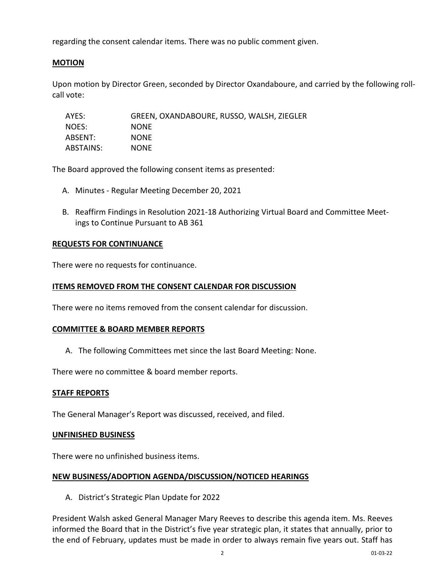regarding the consent calendar items. There was no public comment given.

## **MOTION**

Upon motion by Director Green, seconded by Director Oxandaboure, and carried by the following rollcall vote:

| AYES:     | GREEN, OXANDABOURE, RUSSO, WALSH, ZIEGLER |
|-----------|-------------------------------------------|
| NOES:     | <b>NONE</b>                               |
| ABSENT:   | <b>NONE</b>                               |
| ABSTAINS: | <b>NONE</b>                               |

The Board approved the following consent items as presented:

- A. Minutes Regular Meeting December 20, 2021
- B. Reaffirm Findings in Resolution 2021-18 Authorizing Virtual Board and Committee Meetings to Continue Pursuant to AB 361

### **REQUESTS FOR CONTINUANCE**

There were no requests for continuance.

### **ITEMS REMOVED FROM THE CONSENT CALENDAR FOR DISCUSSION**

There were no items removed from the consent calendar for discussion.

### **COMMITTEE & BOARD MEMBER REPORTS**

A. The following Committees met since the last Board Meeting: None.

There were no committee & board member reports.

### **STAFF REPORTS**

The General Manager's Report was discussed, received, and filed.

### **UNFINISHED BUSINESS**

There were no unfinished business items.

### **NEW BUSINESS/ADOPTION AGENDA/DISCUSSION/NOTICED HEARINGS**

A. District's Strategic Plan Update for 2022

President Walsh asked General Manager Mary Reeves to describe this agenda item. Ms. Reeves informed the Board that in the District's five year strategic plan, it states that annually, prior to the end of February, updates must be made in order to always remain five years out. Staff has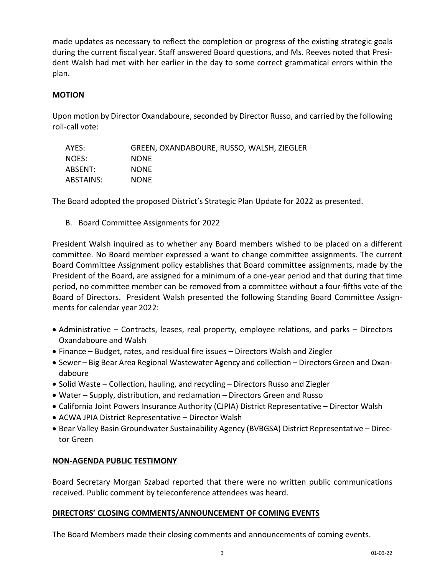made updates as necessary to reflect the completion or progress of the existing strategic goals during the current fiscal year. Staff answered Board questions, and Ms. Reeves noted that President Walsh had met with her earlier in the day to some correct grammatical errors within the plan.

## **MOTION**

Upon motion by Director Oxandaboure, seconded by Director Russo, and carried by the following roll-call vote:

| AYES:     | GREEN, OXANDABOURE, RUSSO, WALSH, ZIEGLER |
|-----------|-------------------------------------------|
| NOES:     | <b>NONE</b>                               |
| ABSENT:   | <b>NONE</b>                               |
| ABSTAINS: | <b>NONE</b>                               |

The Board adopted the proposed District's Strategic Plan Update for 2022 as presented.

B. Board Committee Assignments for 2022

President Walsh inquired as to whether any Board members wished to be placed on a different committee. No Board member expressed a want to change committee assignments. The current Board Committee Assignment policy establishes that Board committee assignments, made by the President of the Board, are assigned for a minimum of a one-year period and that during that time period, no committee member can be removed from a committee without a four-fifths vote of the Board of Directors. President Walsh presented the following Standing Board Committee Assignments for calendar year 2022:

- Administrative Contracts, leases, real property, employee relations, and parks Directors Oxandaboure and Walsh
- Finance Budget, rates, and residual fire issues Directors Walsh and Ziegler
- Sewer Big Bear Area Regional Wastewater Agency and collection Directors Green and Oxandaboure
- Solid Waste Collection, hauling, and recycling Directors Russo and Ziegler
- Water Supply, distribution, and reclamation Directors Green and Russo
- California Joint Powers Insurance Authority (CJPIA) District Representative Director Walsh
- ACWA JPIA District Representative Director Walsh
- Bear Valley Basin Groundwater Sustainability Agency (BVBGSA) District Representative Director Green

### **NON-AGENDA PUBLIC TESTIMONY**

Board Secretary Morgan Szabad reported that there were no written public communications received. Public comment by teleconference attendees was heard.

### **DIRECTORS' CLOSING COMMENTS/ANNOUNCEMENT OF COMING EVENTS**

The Board Members made their closing comments and announcements of coming events.